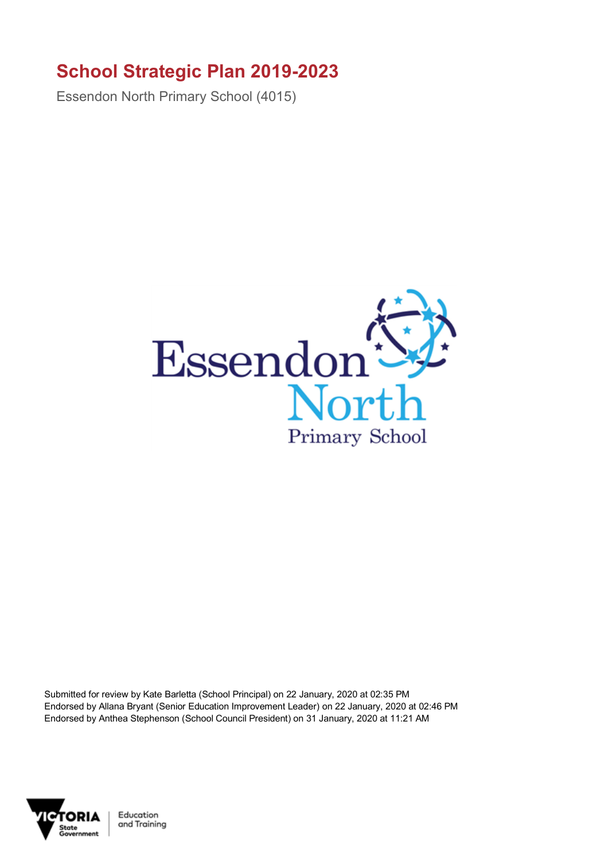## **School Strategic Plan 2019-2023**

Essendon North Primary School (4015)



Submitted for review by Kate Barletta (School Principal) on 22 January, 2020 at 02:35 PM Endorsed by Allana Bryant (Senior Education Improvement Leader) on 22 January, 2020 at 02:46 PM Endorsed by Anthea Stephenson (School Council President) on 31 January, 2020 at 11:21 AM



Education and Training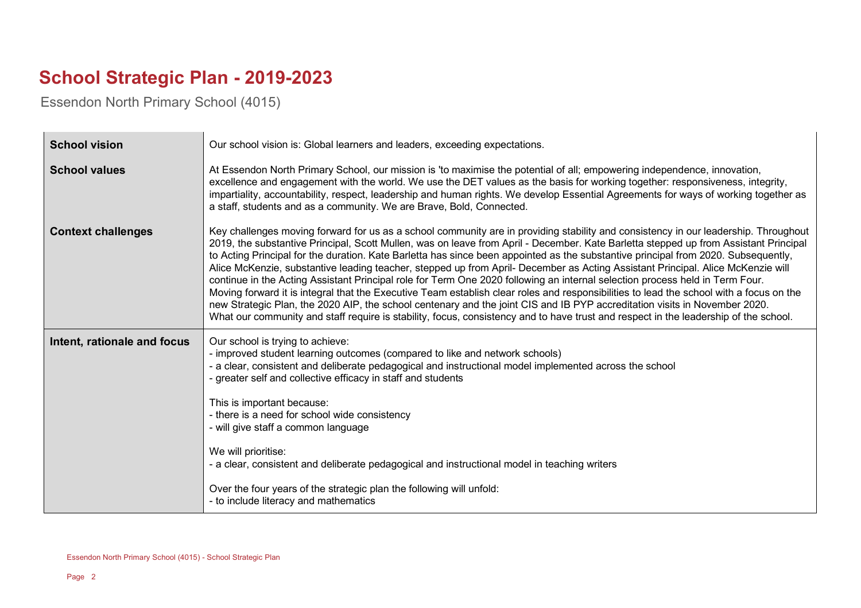## **School Strategic Plan - 2019-2023**

Essendon North Primary School (4015)

| <b>School vision</b>        | Our school vision is: Global learners and leaders, exceeding expectations.                                                                                                                                                                                                                                                                                                                                                                                                                                                                                                                                                                                                                                                                                                                                                                                                                                                                                                                                                                                                                            |
|-----------------------------|-------------------------------------------------------------------------------------------------------------------------------------------------------------------------------------------------------------------------------------------------------------------------------------------------------------------------------------------------------------------------------------------------------------------------------------------------------------------------------------------------------------------------------------------------------------------------------------------------------------------------------------------------------------------------------------------------------------------------------------------------------------------------------------------------------------------------------------------------------------------------------------------------------------------------------------------------------------------------------------------------------------------------------------------------------------------------------------------------------|
| <b>School values</b>        | At Essendon North Primary School, our mission is 'to maximise the potential of all; empowering independence, innovation,<br>excellence and engagement with the world. We use the DET values as the basis for working together: responsiveness, integrity,<br>impartiality, accountability, respect, leadership and human rights. We develop Essential Agreements for ways of working together as<br>a staff, students and as a community. We are Brave, Bold, Connected.                                                                                                                                                                                                                                                                                                                                                                                                                                                                                                                                                                                                                              |
| <b>Context challenges</b>   | Key challenges moving forward for us as a school community are in providing stability and consistency in our leadership. Throughout<br>2019, the substantive Principal, Scott Mullen, was on leave from April - December. Kate Barletta stepped up from Assistant Principal<br>to Acting Principal for the duration. Kate Barletta has since been appointed as the substantive principal from 2020. Subsequently,<br>Alice McKenzie, substantive leading teacher, stepped up from April- December as Acting Assistant Principal. Alice McKenzie will<br>continue in the Acting Assistant Principal role for Term One 2020 following an internal selection process held in Term Four.<br>Moving forward it is integral that the Executive Team establish clear roles and responsibilities to lead the school with a focus on the<br>new Strategic Plan, the 2020 AIP, the school centenary and the joint CIS and IB PYP accreditation visits in November 2020.<br>What our community and staff require is stability, focus, consistency and to have trust and respect in the leadership of the school. |
| Intent, rationale and focus | Our school is trying to achieve:<br>- improved student learning outcomes (compared to like and network schools)<br>- a clear, consistent and deliberate pedagogical and instructional model implemented across the school<br>- greater self and collective efficacy in staff and students<br>This is important because:<br>- there is a need for school wide consistency<br>- will give staff a common language<br>We will prioritise:<br>- a clear, consistent and deliberate pedagogical and instructional model in teaching writers<br>Over the four years of the strategic plan the following will unfold:<br>- to include literacy and mathematics                                                                                                                                                                                                                                                                                                                                                                                                                                               |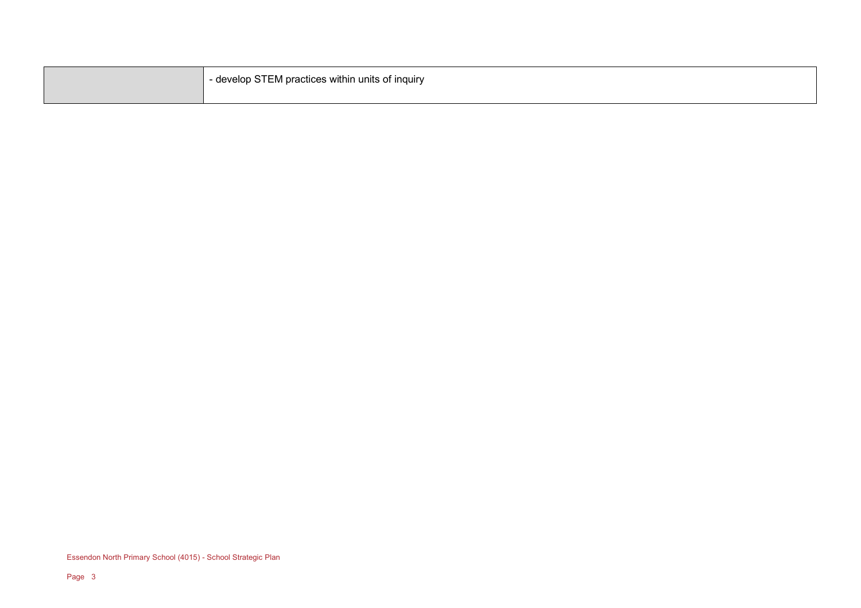| - develop STEM practices within units of inquiry |
|--------------------------------------------------|
|                                                  |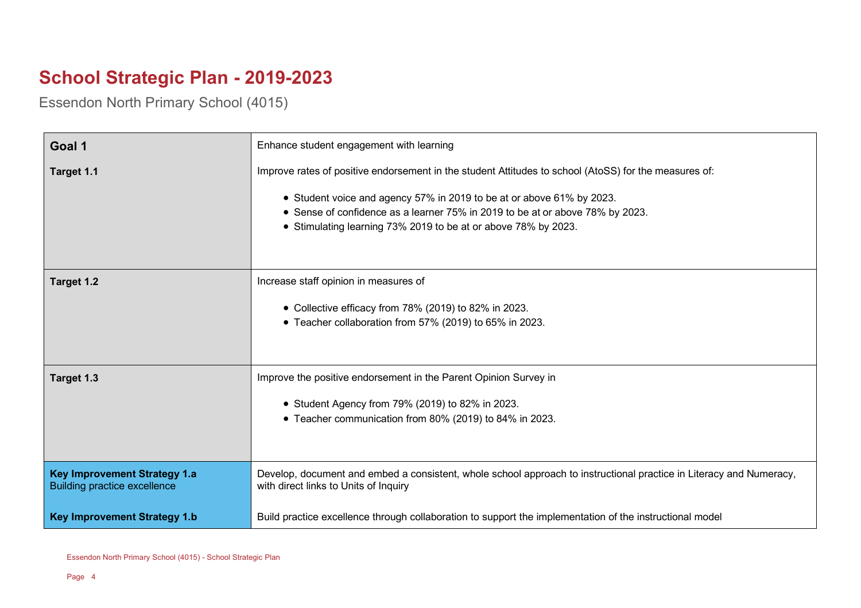## **School Strategic Plan - 2019-2023**

Essendon North Primary School (4015)

| Goal 1                                                                     | Enhance student engagement with learning                                                                                                                                                                                                                                                                                          |
|----------------------------------------------------------------------------|-----------------------------------------------------------------------------------------------------------------------------------------------------------------------------------------------------------------------------------------------------------------------------------------------------------------------------------|
| Target 1.1                                                                 | Improve rates of positive endorsement in the student Attitudes to school (AtoSS) for the measures of:<br>• Student voice and agency 57% in 2019 to be at or above 61% by 2023.<br>• Sense of confidence as a learner 75% in 2019 to be at or above 78% by 2023.<br>• Stimulating learning 73% 2019 to be at or above 78% by 2023. |
| Target 1.2                                                                 | Increase staff opinion in measures of<br>• Collective efficacy from 78% (2019) to 82% in 2023.<br>• Teacher collaboration from 57% (2019) to 65% in 2023.                                                                                                                                                                         |
| Target 1.3                                                                 | Improve the positive endorsement in the Parent Opinion Survey in<br>• Student Agency from 79% (2019) to 82% in 2023.<br>• Teacher communication from 80% (2019) to 84% in 2023.                                                                                                                                                   |
| <b>Key Improvement Strategy 1.a</b><br><b>Building practice excellence</b> | Develop, document and embed a consistent, whole school approach to instructional practice in Literacy and Numeracy,<br>with direct links to Units of Inquiry                                                                                                                                                                      |
| <b>Key Improvement Strategy 1.b</b>                                        | Build practice excellence through collaboration to support the implementation of the instructional model                                                                                                                                                                                                                          |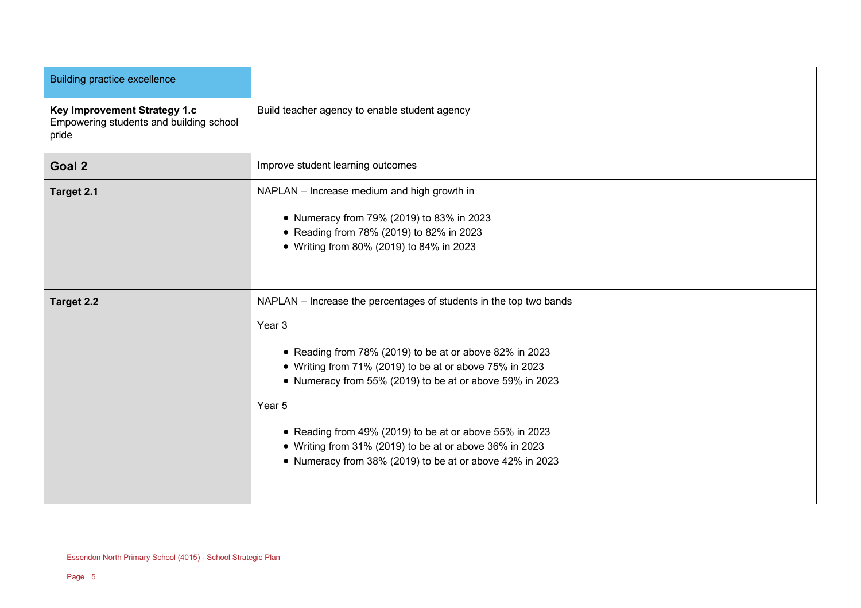| <b>Building practice excellence</b>                                              |                                                                                                                                                                                                                                                                                                                                                                                                                                                            |
|----------------------------------------------------------------------------------|------------------------------------------------------------------------------------------------------------------------------------------------------------------------------------------------------------------------------------------------------------------------------------------------------------------------------------------------------------------------------------------------------------------------------------------------------------|
| Key Improvement Strategy 1.c<br>Empowering students and building school<br>pride | Build teacher agency to enable student agency                                                                                                                                                                                                                                                                                                                                                                                                              |
| Goal 2                                                                           | Improve student learning outcomes                                                                                                                                                                                                                                                                                                                                                                                                                          |
| Target 2.1                                                                       | NAPLAN - Increase medium and high growth in<br>• Numeracy from 79% (2019) to 83% in 2023<br>• Reading from 78% (2019) to 82% in 2023<br>• Writing from 80% (2019) to 84% in 2023                                                                                                                                                                                                                                                                           |
| <b>Target 2.2</b>                                                                | NAPLAN - Increase the percentages of students in the top two bands<br>Year 3<br>• Reading from 78% (2019) to be at or above 82% in 2023<br>• Writing from 71% (2019) to be at or above 75% in 2023<br>• Numeracy from 55% (2019) to be at or above 59% in 2023<br>Year 5<br>• Reading from 49% (2019) to be at or above 55% in 2023<br>• Writing from 31% (2019) to be at or above 36% in 2023<br>• Numeracy from 38% (2019) to be at or above 42% in 2023 |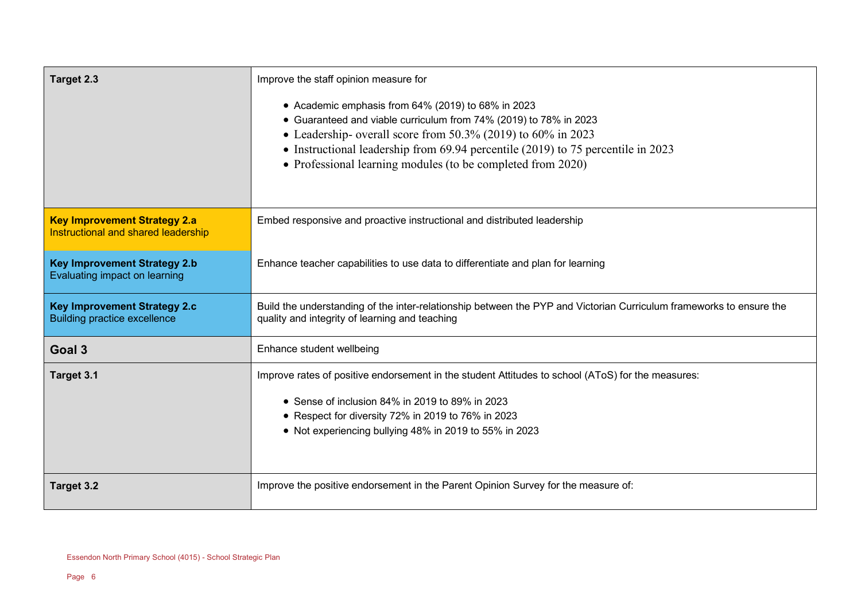| Target 2.3                                                                 | Improve the staff opinion measure for                                                                                                                                                                                                                                                                                                            |
|----------------------------------------------------------------------------|--------------------------------------------------------------------------------------------------------------------------------------------------------------------------------------------------------------------------------------------------------------------------------------------------------------------------------------------------|
|                                                                            | • Academic emphasis from 64% (2019) to 68% in 2023<br>• Guaranteed and viable curriculum from 74% (2019) to 78% in 2023<br>• Leadership- overall score from $50.3\%$ (2019) to $60\%$ in 2023<br>• Instructional leadership from 69.94 percentile (2019) to 75 percentile in 2023<br>• Professional learning modules (to be completed from 2020) |
| <b>Key Improvement Strategy 2.a</b><br>Instructional and shared leadership | Embed responsive and proactive instructional and distributed leadership                                                                                                                                                                                                                                                                          |
| <b>Key Improvement Strategy 2.b</b><br>Evaluating impact on learning       | Enhance teacher capabilities to use data to differentiate and plan for learning                                                                                                                                                                                                                                                                  |
| <b>Key Improvement Strategy 2.c</b><br><b>Building practice excellence</b> | Build the understanding of the inter-relationship between the PYP and Victorian Curriculum frameworks to ensure the<br>quality and integrity of learning and teaching                                                                                                                                                                            |
| Goal 3                                                                     | Enhance student wellbeing                                                                                                                                                                                                                                                                                                                        |
| Target 3.1                                                                 | Improve rates of positive endorsement in the student Attitudes to school (AToS) for the measures:<br>• Sense of inclusion 84% in 2019 to 89% in 2023<br>• Respect for diversity 72% in 2019 to 76% in 2023<br>• Not experiencing bullying 48% in 2019 to 55% in 2023                                                                             |
| Target 3.2                                                                 | Improve the positive endorsement in the Parent Opinion Survey for the measure of:                                                                                                                                                                                                                                                                |